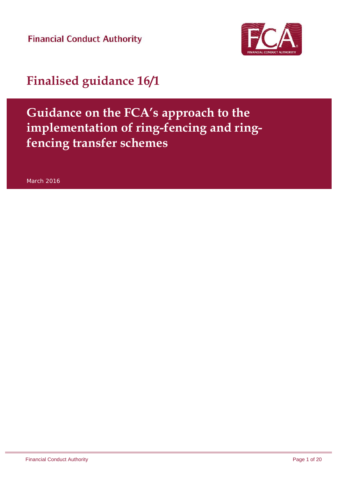**Financial Conduct Authority** 



## **Finalised guidance 16/1**

## **Guidance on the FCA's approach to the implementation of ring-fencing and ringfencing transfer schemes**

March 2016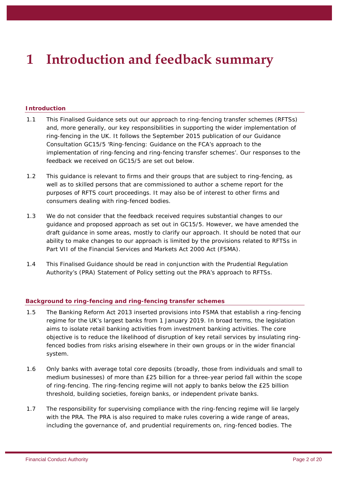# **1 Introduction and feedback summary**

### **Introduction**

- 1.1 This Finalised Guidance sets out our approach to ring-fencing transfer schemes (RFTSs) and, more generally, our key responsibilities in supporting the wider implementation of ring-fencing in the UK. It follows the September 2015 publication of our Guidance Consultation GC15/5 'Ring-fencing: Guidance on the FCA's approach to the implementation of ring-fencing and ring-fencing transfer schemes'. Our responses to the feedback we received on GC15/5 are set out below.
- 1.2 This guidance is relevant to firms and their groups that are subject to ring-fencing, as well as to skilled persons that are commissioned to author a scheme report for the purposes of RFTS court proceedings. It may also be of interest to other firms and consumers dealing with ring-fenced bodies.
- 1.3 We do not consider that the feedback received requires substantial changes to our guidance and proposed approach as set out in GC15/5. However, we have amended the draft guidance in some areas, mostly to clarify our approach. It should be noted that our ability to make changes to our approach is limited by the provisions related to RFTSs in Part VII of the Financial Services and Markets Act 2000 Act (FSMA).
- 1.4 This Finalised Guidance should be read in conjunction with the Prudential Regulation Authority's (PRA) Statement of Policy setting out the PRA's approach to RFTSs.

### **Background to ring-fencing and ring-fencing transfer schemes**

- 1.5 The Banking Reform Act 2013 inserted provisions into FSMA that establish a ring-fencing regime for the UK's largest banks from 1 January 2019. In broad terms, the legislation aims to isolate retail banking activities from investment banking activities. The core objective is to reduce the likelihood of disruption of key retail services by insulating ringfenced bodies from risks arising elsewhere in their own groups or in the wider financial system.
- 1.6 Only banks with average total core deposits (broadly, those from individuals and small to medium businesses) of more than £25 billion for a three-year period fall within the scope of ring-fencing. The ring-fencing regime will not apply to banks below the £25 billion threshold, building societies, foreign banks, or independent private banks.
- 1.7 The responsibility for supervising compliance with the ring-fencing regime will lie largely with the PRA. The PRA is also required to make rules covering a wide range of areas, including the governance of, and prudential requirements on, ring-fenced bodies. The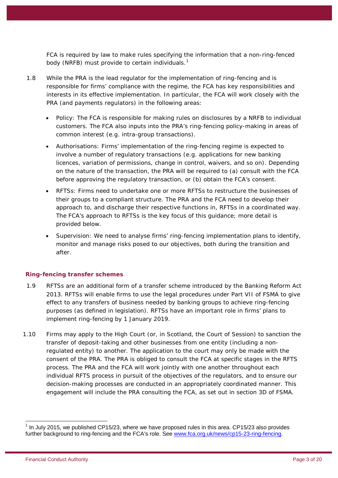FCA is required by law to make rules specifying the information that a non-ring-fenced body (NRFB) must provide to certain individuals. $^{\text{1}}$  $^{\text{1}}$  $^{\text{1}}$ 

- 1.8 While the PRA is the lead regulator for the implementation of ring-fencing and is responsible for firms' compliance with the regime, the FCA has key responsibilities and interests in its effective implementation. In particular, the FCA will work closely with the PRA (and payments regulators) in the following areas:
	- Policy: The FCA is responsible for making rules on disclosures by a NRFB to individual customers. The FCA also inputs into the PRA's ring-fencing policy-making in areas of common interest (e.g. intra-group transactions).
	- Authorisations: Firms' implementation of the ring-fencing regime is expected to involve a number of regulatory transactions (e.g. applications for new banking licences, variation of permissions, change in control, waivers, and so on). Depending on the nature of the transaction, the PRA will be required to (a) consult with the FCA before approving the regulatory transaction, or (b) obtain the FCA's consent.
	- RFTSs: Firms need to undertake one or more RFTSs to restructure the businesses of their groups to a compliant structure. The PRA and the FCA need to develop their approach to, and discharge their respective functions in, RFTSs in a coordinated way. The FCA's approach to RFTSs is the key focus of this guidance; more detail is provided below.
	- Supervision: We need to analyse firms' ring-fencing implementation plans to identify, monitor and manage risks posed to our objectives, both during the transition and after.

### **Ring-fencing transfer schemes**

- 1.9 RFTSs are an additional form of a transfer scheme introduced by the Banking Reform Act 2013. RFTSs will enable firms to use the legal procedures under Part VII of FSMA to give effect to any transfers of business needed by banking groups to achieve ring-fencing purposes (as defined in legislation). RFTSs have an important role in firms' plans to implement ring-fencing by 1 January 2019.
- 1.10 Firms may apply to the High Court (or, in Scotland, the Court of Session) to sanction the transfer of deposit-taking and other businesses from one entity (including a nonregulated entity) to another. The application to the court may only be made with the consent of the PRA. The PRA is obliged to consult the FCA at specific stages in the RFTS process. The PRA and the FCA will work jointly with one another throughout each individual RFTS process in pursuit of the objectives of the regulators, and to ensure our decision-making processes are conducted in an appropriately coordinated manner. This engagement will include the PRA consulting the FCA, as set out in section 3D of FSMA.

<span id="page-2-0"></span> $<sup>1</sup>$  In July 2015, we published CP15/23, where we have proposed rules in this area. CP15/23 also provides</sup> further background to ring-fencing and the FCA's role. See [www.fca.org.uk/news/cp15-23-ring-fencing.](http://www.fca.org.uk/news/cp15-23-ring-fencing)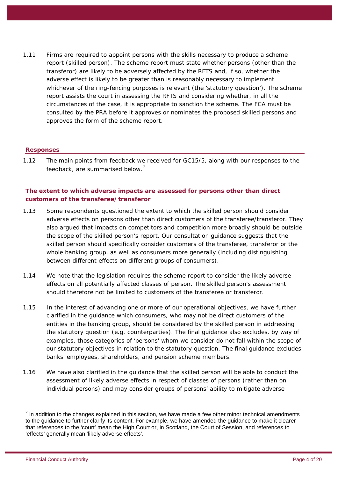1.11 Firms are required to appoint persons with the skills necessary to produce a scheme report (skilled person). The scheme report must state whether persons (other than the transferor) are likely to be adversely affected by the RFTS and, if so, whether the adverse effect is likely to be greater than is reasonably necessary to implement whichever of the ring-fencing purposes is relevant (the 'statutory question'). The scheme report assists the court in assessing the RFTS and considering whether, in all the circumstances of the case, it is appropriate to sanction the scheme. The FCA must be consulted by the PRA before it approves or nominates the proposed skilled persons and approves the form of the scheme report.

### **Responses**

1.12 The main points from feedback we received for GC15/5, along with our responses to the feedback, are summarised below.<sup>[2](#page-3-0)</sup>

### **The extent to which adverse impacts are assessed for persons other than direct customers of the transferee/transferor**

- 1.13 Some respondents questioned the extent to which the skilled person should consider adverse effects on persons other than direct customers of the transferee/transferor. They also argued that impacts on competitors and competition more broadly should be outside the scope of the skilled person's report. Our consultation guidance suggests that the skilled person should specifically consider customers of the transferee, transferor or the whole banking group, as well as consumers more generally (including distinguishing between different effects on different groups of consumers).
- 1.14 We note that the legislation requires the scheme report to consider the likely adverse effects on all potentially affected classes of person. The skilled person's assessment should therefore not be limited to customers of the transferee or transferor.
- 1.15 In the interest of advancing one or more of our operational objectives, we have further clarified in the guidance which consumers, who may not be direct customers of the entities in the banking group, should be considered by the skilled person in addressing the statutory question (e.g. counterparties). The final guidance also excludes, by way of examples, those categories of 'persons' whom we consider do not fall within the scope of our statutory objectives in relation to the statutory question. The final guidance excludes banks' employees, shareholders, and pension scheme members.
- 1.16 We have also clarified in the guidance that the skilled person will be able to conduct the assessment of likely adverse effects in respect of classes of persons (rather than on individual persons) and may consider groups of persons' ability to mitigate adverse

<span id="page-3-0"></span> $2$  In addition to the changes explained in this section, we have made a few other minor technical amendments to the guidance to further clarify its content. For example, we have amended the guidance to make it clearer that references to the 'court' mean the High Court or, in Scotland, the Court of Session, and references to 'effects' generally mean 'likely adverse effects'.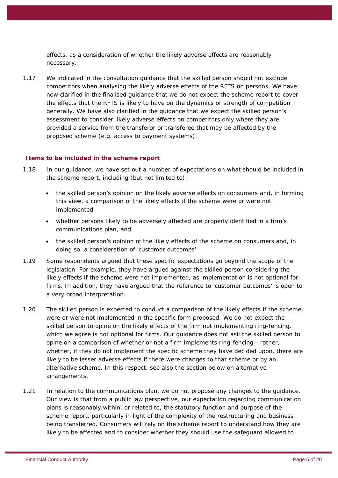effects, as a consideration of whether the likely adverse effects are reasonably necessary.

1.17 We indicated in the consultation guidance that the skilled person should not exclude competitors when analysing the likely adverse effects of the RFTS on persons. We have now clarified in the finalised guidance that we do not expect the scheme report to cover the effects that the RFTS is likely to have on the dynamics or strength of competition generally. We have also clarified in the guidance that we expect the skilled person's assessment to consider likely adverse effects on competitors only where they are provided a service from the transferor or transferee that may be affected by the proposed scheme (e.g. access to payment systems).

### **Items to be included in the scheme report**

- 1.18 In our guidance, we have set out a number of expectations on what should be included in the scheme report, including (but not limited to):
	- the skilled person's opinion on the likely adverse effects on consumers and, in forming this view, a comparison of the likely effects if the scheme were or were not implemented
	- whether persons likely to be adversely affected are properly identified in a firm's communications plan, and
	- the skilled person's opinion of the likely effects of the scheme on consumers and, in doing so, a consideration of 'customer outcomes'
- 1.19 Some respondents argued that these specific expectations go beyond the scope of the legislation. For example, they have argued against the skilled person considering the likely effects if the scheme were not implemented, as implementation is not optional for firms. In addition, they have argued that the reference to 'customer outcomes' is open to a very broad interpretation.
- 1.20 The skilled person is expected to conduct a comparison of the likely effects if the scheme were or were not implemented in the specific form proposed. We do not expect the skilled person to opine on the likely effects of the firm not implementing ring-fencing, which we agree is not optional for firms. Our guidance does not ask the skilled person to opine on a comparison of whether or not a firm implements ring-fencing – rather, whether, if they do not implement the specific scheme they have decided upon, there are likely to be lesser adverse effects if there were changes to that scheme or by an alternative scheme. In this respect, see also the section below on alternative arrangements.
- 1.21 In relation to the communications plan, we do not propose any changes to the guidance. Our view is that from a public law perspective, our expectation regarding communication plans is reasonably within, or related to, the statutory function and purpose of the scheme report, particularly in light of the complexity of the restructuring and business being transferred. Consumers will rely on the scheme report to understand how they are likely to be affected and to consider whether they should use the safeguard allowed to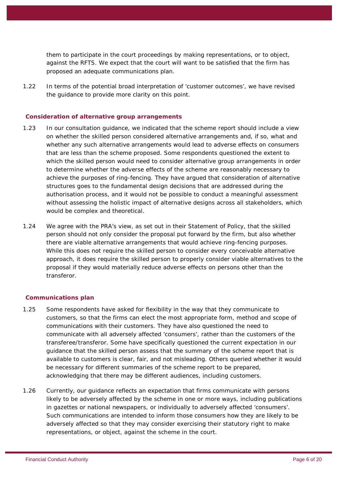them to participate in the court proceedings by making representations, or to object, against the RFTS. We expect that the court will want to be satisfied that the firm has proposed an adequate communications plan.

1.22 In terms of the potential broad interpretation of 'customer outcomes', we have revised the guidance to provide more clarity on this point.

### **Consideration of alternative group arrangements**

- 1.23 In our consultation guidance, we indicated that the scheme report should include a view on whether the skilled person considered alternative arrangements and, if so, what and whether any such alternative arrangements would lead to adverse effects on consumers that are less than the scheme proposed. Some respondents questioned the extent to which the skilled person would need to consider alternative group arrangements in order to determine whether the adverse effects of the scheme are reasonably necessary to achieve the purposes of ring-fencing. They have argued that consideration of alternative structures goes to the fundamental design decisions that are addressed during the authorisation process, and it would not be possible to conduct a meaningful assessment without assessing the holistic impact of alternative designs across all stakeholders, which would be complex and theoretical.
- 1.24 We agree with the PRA's view, as set out in their Statement of Policy, that the skilled person should not only consider the proposal put forward by the firm, but also whether there are viable alternative arrangements that would achieve ring-fencing purposes. While this does not require the skilled person to consider every conceivable alternative approach, it does require the skilled person to properly consider viable alternatives to the proposal if they would materially reduce adverse effects on persons other than the transferor.

### **Communications plan**

- 1.25 Some respondents have asked for flexibility in the way that they communicate to customers, so that the firms can elect the most appropriate form, method and scope of communications with their customers. They have also questioned the need to communicate with all adversely affected 'consumers', rather than the customers of the transferee/transferor. Some have specifically questioned the current expectation in our guidance that the skilled person assess that the summary of the scheme report that is available to customers is clear, fair, and not misleading. Others queried whether it would be necessary for different summaries of the scheme report to be prepared, acknowledging that there may be different audiences, including customers.
- 1.26 Currently, our guidance reflects an expectation that firms communicate with persons likely to be adversely affected by the scheme in one or more ways, including publications in gazettes or national newspapers, or individually to adversely affected 'consumers'. Such communications are intended to inform those consumers how they are likely to be adversely affected so that they may consider exercising their statutory right to make representations, or object, against the scheme in the court.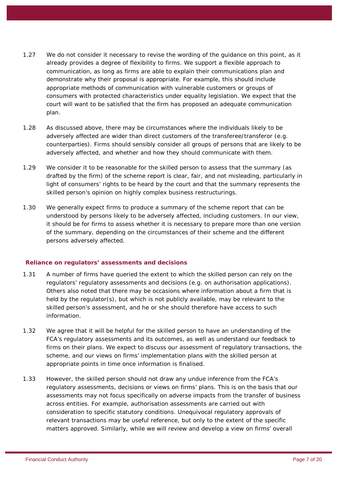- 1.27 We do not consider it necessary to revise the wording of the guidance on this point, as it already provides a degree of flexibility to firms. We support a flexible approach to communication, as long as firms are able to explain their communications plan and demonstrate why their proposal is appropriate. For example, this should include appropriate methods of communication with vulnerable customers or groups of consumers with protected characteristics under equality legislation. We expect that the court will want to be satisfied that the firm has proposed an adequate communication plan.
- 1.28 As discussed above, there may be circumstances where the individuals likely to be adversely affected are wider than direct customers of the transferee/transferor (e.g. counterparties). Firms should sensibly consider all groups of persons that are likely to be adversely affected, and whether and how they should communicate with them.
- 1.29 We consider it to be reasonable for the skilled person to assess that the summary (as drafted by the firm) of the scheme report is clear, fair, and not misleading, particularly in light of consumers' rights to be heard by the court and that the summary represents the skilled person's opinion on highly complex business restructurings.
- 1.30 We generally expect firms to produce a summary of the scheme report that can be understood by persons likely to be adversely affected, including customers. In our view, it should be for firms to assess whether it is necessary to prepare more than one version of the summary, depending on the circumstances of their scheme and the different persons adversely affected.

### **Reliance on regulators' assessments and decisions**

- 1.31 A number of firms have queried the extent to which the skilled person can rely on the regulators' regulatory assessments and decisions (e.g. on authorisation applications). Others also noted that there may be occasions where information about a firm that is held by the regulator(s), but which is not publicly available, may be relevant to the skilled person's assessment, and he or she should therefore have access to such information.
- 1.32 We agree that it will be helpful for the skilled person to have an understanding of the FCA's regulatory assessments and its outcomes, as well as understand our feedback to firms on their plans. We expect to discuss our assessment of regulatory transactions, the scheme, and our views on firms' implementation plans with the skilled person at appropriate points in time once information is finalised.
- 1.33 However, the skilled person should not draw any undue inference from the FCA's regulatory assessments, decisions or views on firms' plans. This is on the basis that our assessments may not focus specifically on adverse impacts from the transfer of business across entities. For example, authorisation assessments are carried out with consideration to specific statutory conditions. Unequivocal regulatory approvals of relevant transactions may be useful reference, but only to the extent of the specific matters approved. Similarly, while we will review and develop a view on firms' overall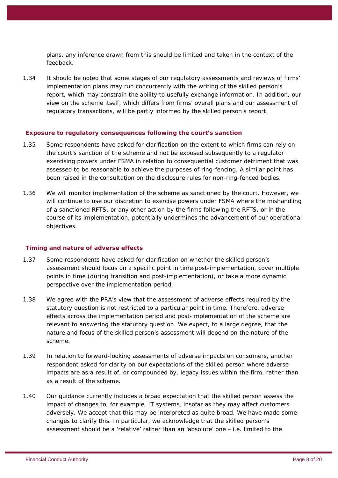plans, any inference drawn from this should be limited and taken in the context of the feedback.

1.34 It should be noted that some stages of our regulatory assessments and reviews of firms' implementation plans may run concurrently with the writing of the skilled person's report, which may constrain the ability to usefully exchange information. In addition, our view on the scheme itself, which differs from firms' overall plans and our assessment of regulatory transactions, will be partly informed by the skilled person's report.

### **Exposure to regulatory consequences following the court's sanction**

- 1.35 Some respondents have asked for clarification on the extent to which firms can rely on the court's sanction of the scheme and not be exposed subsequently to a regulator exercising powers under FSMA in relation to consequential customer detriment that was assessed to be reasonable to achieve the purposes of ring-fencing. A similar point has been raised in the consultation on the disclosure rules for non-ring-fenced bodies.
- 1.36 We will monitor implementation of the scheme as sanctioned by the court. However, we will continue to use our discretion to exercise powers under FSMA where the mishandling of a sanctioned RFTS, or any other action by the firms following the RFTS, or in the course of its implementation, potentially undermines the advancement of our operational objectives.

### **Timing and nature of adverse effects**

- 1.37 Some respondents have asked for clarification on whether the skilled person's assessment should focus on a specific point in time post-implementation, cover multiple points in time (during transition and post-implementation), or take a more dynamic perspective over the implementation period.
- 1.38 We agree with the PRA's view that the assessment of adverse effects required by the statutory question is not restricted to a particular point in time. Therefore, adverse effects across the implementation period and post-implementation of the scheme are relevant to answering the statutory question. We expect, to a large degree, that the nature and focus of the skilled person's assessment will depend on the nature of the scheme.
- 1.39 In relation to forward-looking assessments of adverse impacts on consumers, another respondent asked for clarity on our expectations of the skilled person where adverse impacts are as a result of, or compounded by, legacy issues within the firm, rather than as a result of the scheme.
- 1.40 Our guidance currently includes a broad expectation that the skilled person assess the impact of changes to, for example, IT systems, insofar as they may affect customers adversely. We accept that this may be interpreted as quite broad. We have made some changes to clarify this. In particular, we acknowledge that the skilled person's assessment should be a 'relative' rather than an 'absolute' one – i.e. limited to the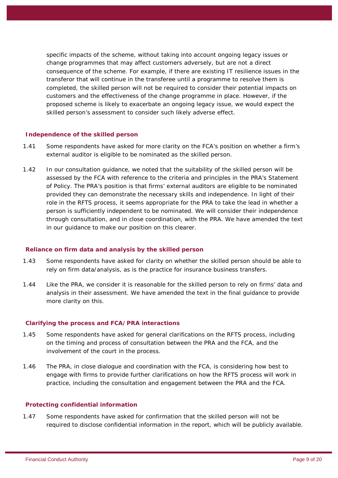specific impacts of the scheme, without taking into account ongoing legacy issues or change programmes that may affect customers adversely, but are not a direct consequence of the scheme. For example, if there are existing IT resilience issues in the transferor that will continue in the transferee until a programme to resolve them is completed, the skilled person will not be required to consider their potential impacts on customers and the effectiveness of the change programme in place. However, if the proposed scheme is likely to exacerbate an ongoing legacy issue, we would expect the skilled person's assessment to consider such likely adverse effect.

### **Independence of the skilled person**

- 1.41 Some respondents have asked for more clarity on the FCA's position on whether a firm's external auditor is eligible to be nominated as the skilled person.
- 1.42 In our consultation guidance, we noted that the suitability of the skilled person will be assessed by the FCA with reference to the criteria and principles in the PRA's Statement of Policy. The PRA's position is that firms' external auditors are eligible to be nominated provided they can demonstrate the necessary skills and independence. In light of their role in the RFTS process, it seems appropriate for the PRA to take the lead in whether a person is sufficiently independent to be nominated. We will consider their independence through consultation, and in close coordination, with the PRA. We have amended the text in our guidance to make our position on this clearer.

### **Reliance on firm data and analysis by the skilled person**

- 1.43 Some respondents have asked for clarity on whether the skilled person should be able to rely on firm data/analysis, as is the practice for insurance business transfers.
- 1.44 Like the PRA, we consider it is reasonable for the skilled person to rely on firms' data and analysis in their assessment. We have amended the text in the final guidance to provide more clarity on this.

### **Clarifying the process and FCA/PRA interactions**

- 1.45 Some respondents have asked for general clarifications on the RFTS process, including on the timing and process of consultation between the PRA and the FCA, and the involvement of the court in the process.
- 1.46 The PRA, in close dialogue and coordination with the FCA, is considering how best to engage with firms to provide further clarifications on how the RFTS process will work in practice, including the consultation and engagement between the PRA and the FCA.

### **Protecting confidential information**

1.47 Some respondents have asked for confirmation that the skilled person will not be required to disclose confidential information in the report, which will be publicly available.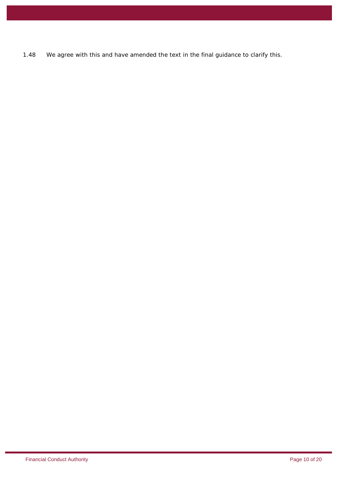1.48 We agree with this and have amended the text in the final guidance to clarify this.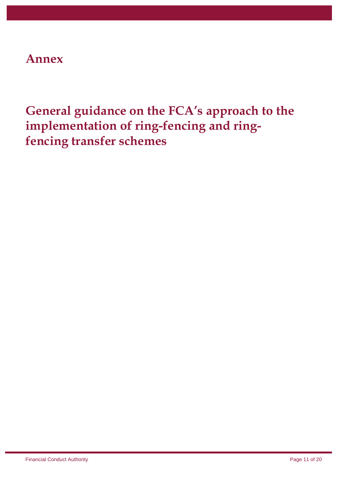### **Annex**

## **General guidance on the FCA's approach to the implementation of ring-fencing and ringfencing transfer schemes**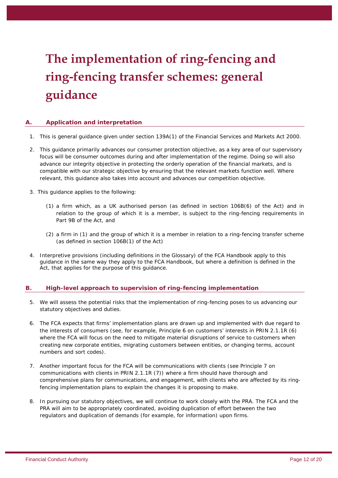# **The implementation of ring-fencing and ring-fencing transfer schemes: general guidance**

### **A. Application and interpretation**

- 1. This is general *guidance* given under section 139A(1) of the Financial Services and Markets Act 2000.
- 2. This *guidance* primarily advances our consumer protection objective, as a key area of our supervisory focus will be consumer outcomes during and after implementation of the regime. Doing so will also advance our integrity objective in protecting the orderly operation of the financial markets, and is compatible with our strategic objective by ensuring that the relevant markets function well. Where relevant, this guidance also takes into account and advances our competition objective.
- 3. This *guidance* applies to the following:
	- (1) a *firm* which, as a UK authorised person (as defined in section 106B(6) of the *Act*) and in relation to the *group* of which it is a member, is subject to the ring-fencing requirements in Part 9B of the *Act*, and
	- (2) a *firm* in (1) and the *group* of which it is a member in relation to a ring-fencing transfer scheme (as defined in section 106B(1) of the *Act*)
- 4. Interpretive provisions (including definitions in the *Glossary*) of the *FCA Handbook* apply to this *guidance* in the same way they apply to the *FCA Handbook*, but where a definition is defined in the *Act*, that applies for the purpose of this guidance.

### **B. High-level approach to supervision of ring-fencing implementation**

- 5. We will assess the potential risks that the implementation of ring-fencing poses to us advancing our statutory objectives and duties.
- 6. The *FCA* expects that *firms'* implementation plans are drawn up and implemented with due regard to the interests of *consumers* (see, for example, Principle 6 on customers' interests in *PRIN* 2.1.1R (6) where the *FCA* will focus on the need to mitigate material disruptions of service to *customers* when creating new corporate entities, migrating *customers* between entities, or changing terms, account numbers and sort codes).
- 7. Another important focus for the *FCA* will be communications with *clients* (see Principle 7 on communications with clients in *PRIN* 2.1.1R (7)) where a *firm* should have thorough and comprehensive plans for communications, and engagement, with *clients* who are affected by its ringfencing implementation plans to explain the changes it is proposing to make.
- 8. In pursuing our statutory objectives, we will continue to work closely with the *PRA*. The *FCA* and the *PRA* will aim to be appropriately coordinated, avoiding duplication of effort between the two regulators and duplication of demands (for example, for information) upon *firms*.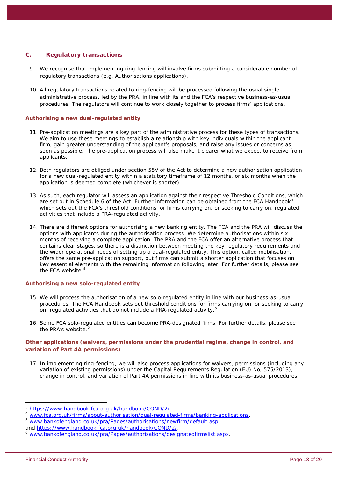### **C. Regulatory transactions**

- 9. We recognise that implementing ring-fencing will involve *firms* submitting a considerable number of regulatory transactions (e.g. Authorisations applications).
- 10. All regulatory transactions related to ring-fencing will be processed following the usual single administrative process, led by the *PRA*, in line with its and the *FCA's* respective business-as-usual procedures. The regulators will continue to work closely together to process *firms'* applications.

### *Authorising a new dual-regulated entity*

- 11. Pre-application meetings are a key part of the administrative process for these types of transactions. We aim to use these meetings to establish a relationship with key individuals within the applicant *firm*, gain greater understanding of the applicant's proposals, and raise any issues or concerns as soon as possible. The pre-application process will also make it clearer what we expect to receive from applicants.
- 12. Both regulators are obliged under section 55V of the *Act* to determine a new authorisation application for a new dual-regulated entity within a statutory timeframe of 12 months, or six months when the application is deemed complete (whichever is shorter).
- 13. As such, each regulator will assess an application against their respective Threshold Conditions, which are set out in Schedule 6 of the *Act*. Further information can be obtained from the *FCA Handbook*[3](#page-12-0) , which sets out the *FCA's threshold conditions* for *firms* carrying on, or seeking to carry on, *regulated activities* that include a *PRA-regulated activity*.
- 14. There are different options for authorising a new banking entity. The *FCA* and the *PRA* will discuss the options with applicants during the authorisation process. We determine authorisations within six months of receiving a complete application. The *PRA* and the *FCA* offer an alternative process that contains clear stages, so there is a distinction between meeting the key regulatory requirements and the wider operational needs of setting up a dual-regulated entity. This option, called mobilisation, offers the same pre-application support, but firms can submit a shorter application that focuses on key essential elements with the remaining information following later. For further details, please see the *FCA* website. [4](#page-12-1)

### *Authorising a new solo-regulated entity*

- 15. We will process the authorisation of a new solo-regulated entity in line with our business-as-usual procedures. The *FCA Handbook* sets out *threshold conditions* for *firms* carrying on, or seeking to carry on, *regulated activities* that do not include a *PRA-regulated activity.* [5](#page-12-2)
- 16. Some *FCA* solo-regulated entities can become *PRA*-designated firms. For further details, please see the *PRA's* website. [6](#page-12-3)

### *Other applications (waivers, permissions under the prudential regime, change in control, and variation of Part 4A permissions)*

17. In implementing ring-fencing, we will also process applications for *waivers*, permissions (including any variation of existing permissions) under the Capital Requirements Regulation (EU) No, 575/2013), change in control, and variation of *Part 4A permissions* in line with its business-as-usual procedures.

<span id="page-12-0"></span> $\frac{3}{1000}$  [https://www.handbook.fca.org.uk/handbook/COND/2/.](https://www.handbook.fca.org.uk/handbook/COND/2/)

<span id="page-12-1"></span><sup>&</sup>lt;sup>4</sup> [www.fca.org.uk/firms/about-authorisation/dual-regulated-firms/banking-applications](https://www.the-fca.org.uk/authorisation-banks-and-lending-alternatives).

<span id="page-12-2"></span>[www.bankofengland.co.uk/pra/Pages/authorisations/newfirm/default.asp](http://www.bankofengland.co.uk/pra/Pages/authorisations/newfirm/default.aspx) and<https://www.handbook.fca.org.uk/handbook/COND/2/>.

<span id="page-12-3"></span><sup>6</sup> [www.bankofengland.co.uk/pra/Pages/authorisations/designatedfirmslist.aspx](http://www.bankofengland.co.uk/pra/Pages/authorisations/designatedfirmslist.aspx).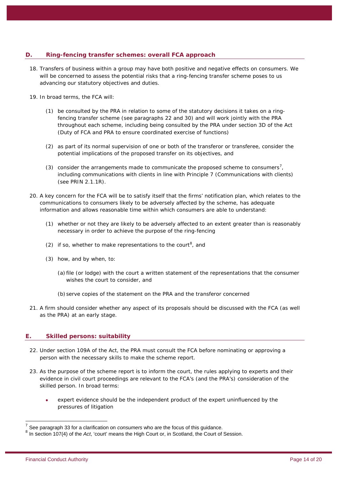### **D. Ring-fencing transfer schemes: overall FCA approach**

- 18. Transfers of business within a *group* may have both positive and negative effects on *consumers*. We will be concerned to assess the potential risks that a ring-fencing transfer scheme poses to us advancing our statutory objectives and duties.
- 19. In broad terms, the *FCA* will:
	- (1) be consulted by the *PRA* in relation to some of the statutory decisions it takes on a ringfencing transfer scheme (see paragraphs 22 and 30) and will work jointly with the *PRA* throughout each scheme, including being consulted by the *PRA* under section 3D of the *Act* (Duty of FCA and PRA to ensure coordinated exercise of functions)
	- (2) as part of its normal supervision of one or both of the transferor or transferee, consider the potential implications of the proposed transfer on its objectives, and
	- (3) consider the arrangements made to communicate the proposed scheme to *consumers[7](#page-13-0)* , including communications with *clients* in line with Principle 7 (Communications with clients) (see *PRIN* 2.1.1R).
- 20. A key concern for the *FCA* will be to satisfy itself that the *firms'* notification plan, which relates to the communications to *consumers* likely to be adversely affected by the scheme, has adequate information and allows reasonable time within which *consumers* are able to understand:
	- (1) whether or not they are likely to be adversely affected to an extent greater than is reasonably necessary in order to achieve the purpose of the ring-fencing
	- (2) if so, whether to make representations to the court<sup>[8](#page-13-1)</sup>, and
	- (3) how, and by when, to:
		- (a) file (or lodge) with the court a written statement of the representations that the *consumer* wishes the court to consider, and
		- (b) serve copies of the statement on the *PRA* and the transferor concerned
- 21. A *firm* should consider whether any aspect of its proposals should be discussed with the *FCA* (as well as the *PRA*) at an early stage.

### **E. Skilled persons: suitability**

- 22. Under section 109A of the *Act*, the *PRA* must consult the *FCA* before nominating or approving a person with the necessary skills to make the scheme report.
- 23. As the purpose of the scheme report is to inform the court, the rules applying to experts and their evidence in civil court proceedings are relevant to the *FCA's* (and the *PRA's*) consideration of the skilled person. In broad terms:
	- expert evidence should be the independent product of the expert uninfluenced by the pressures of litigation

<span id="page-13-1"></span><span id="page-13-0"></span> $7\text{ See paragraph 33 for a clarification on *consumes* who are the focus of this guidance. 8 In section 107(4) of the *Act*, 'court' means the High Court or, in Scotland, the Court of Session.$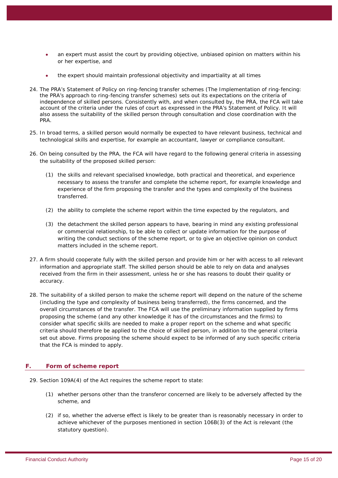- an expert must assist the court by providing objective, unbiased opinion on matters within his or her expertise, and
- the expert should maintain professional objectivity and impartiality at all times
- 24. The *PRA's* Statement of Policy on ring-fencing transfer schemes (The Implementation of ring-fencing: the PRA's approach to ring-fencing transfer schemes) sets out its expectations on the criteria of independence of skilled persons. Consistently with, and when consulted by, the *PRA*, the *FCA* will take account of the criteria under the rules of court as expressed in the *PRA's* Statement of Policy. It will also assess the suitability of the skilled person through consultation and close coordination with the *PRA*.
- 25. In broad terms, a skilled person would normally be expected to have relevant business, technical and technological skills and expertise, for example an accountant, lawyer or compliance consultant.
- 26. On being consulted by the *PRA*, the *FCA* will have regard to the following general criteria in assessing the suitability of the proposed skilled person:
	- (1) the skills and relevant specialised knowledge, both practical and theoretical, and experience necessary to assess the transfer and complete the scheme report, for example knowledge and experience of the *firm* proposing the transfer and the types and complexity of the business transferred.
	- (2) the ability to complete the scheme report within the time expected by the regulators, and
	- (3) the detachment the skilled person appears to have, bearing in mind any existing professional or commercial relationship, to be able to collect or update information for the purpose of writing the conduct sections of the scheme report, or to give an objective opinion on conduct matters included in the scheme report.
- 27. A *firm* should cooperate fully with the skilled person and provide him or her with access to all relevant information and appropriate staff. The skilled person should be able to rely on data and analyses received from the *firm* in their assessment, unless he or she has reasons to doubt their quality or accuracy.
- 28. The suitability of a skilled person to make the scheme report will depend on the nature of the scheme (including the type and complexity of business being transferred), the *firms* concerned, and the overall circumstances of the transfer. The *FCA* will use the preliminary information supplied by *firms* proposing the scheme (and any other knowledge it has of the circumstances and the *firms*) to consider what specific skills are needed to make a proper report on the scheme and what specific criteria should therefore be applied to the choice of skilled person, in addition to the general criteria set out above. *Firms* proposing the scheme should expect to be informed of any such specific criteria that the *FCA* is minded to apply.

### **F. Form of scheme report**

- 29. Section 109A(4) of the *Act* requires the scheme report to state:
	- (1) whether persons other than the transferor concerned are likely to be adversely affected by the scheme, and
	- (2) if so, whether the adverse effect is likely to be greater than is reasonably necessary in order to achieve whichever of the purposes mentioned in section 106B(3) of the *Act* is relevant (the statutory question).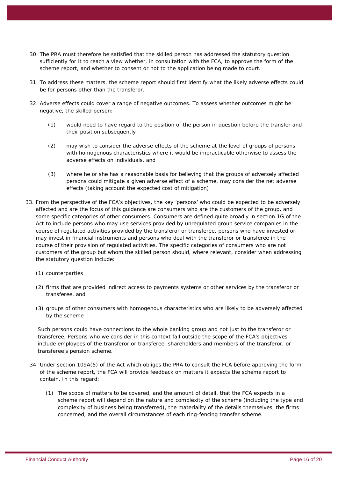- 30. The *PRA* must therefore be satisfied that the skilled person has addressed the statutory question sufficiently for it to reach a view whether, in consultation with the *FCA*, to approve the form of the scheme report, and whether to consent or not to the application being made to court.
- 31. To address these matters, the scheme report should first identify what the likely adverse effects could be for persons other than the transferor.
- 32. Adverse effects could cover a range of negative outcomes. To assess whether outcomes might be negative, the skilled person:
	- (1) would need to have regard to the position of the person in question before the transfer and their position subsequently
	- (2) may wish to consider the adverse effects of the scheme at the level of groups of persons with homogenous characteristics where it would be impracticable otherwise to assess the adverse effects on individuals, and
	- (3) where he or she has a reasonable basis for believing that the groups of adversely affected persons could mitigate a given adverse effect of a scheme, may consider the net adverse effects (taking account the expected cost of mitigation)
- 33. From the perspective of the *FCA's* objectives, the key 'persons' who could be expected to be adversely affected and are the focus of this guidance are *consumers* who are the *customers* of the *group*, and some specific categories of other *consumers*. *Consumers* are defined quite broadly in section 1G of the *Act* to include persons who may use services provided by unregulated group service companies in the course of *regulated activities* provided by the transferor or transferee, persons who have invested or may invest in financial instruments and persons who deal with the transferor or transferee in the course of their provision of *regulated activities*. The specific categories of *consumers* who are not *customers* of the *group* but whom the skilled person should, where relevant, consider when addressing the statutory question include:
	- (1) counterparties
	- (2) *firms* that are provided indirect access to payments systems or other services by the transferor or transferee, and
	- (3) groups of other *consumers* with homogenous characteristics who are likely to be adversely affected by the scheme

Such persons could have connections to the whole banking *group* and not just to the transferor or transferee. Persons who we consider in this context fall outside the scope of the *FCA's* objectives include employees of the transferor or transferee, shareholders and members of the transferor, or transferee's pension scheme.

- 34. Under section 109A(5) of the *Act* which obliges the *PRA* to consult the *FCA* before approving the form of the scheme report, the *FCA* will provide feedback on matters it expects the scheme report to contain. In this regard:
	- (1) The scope of matters to be covered, and the amount of detail, that the *FCA* expects in a scheme report will depend on the nature and complexity of the scheme (including the type and complexity of business being transferred), the materiality of the details themselves, the *firms* concerned, and the overall circumstances of each ring-fencing transfer scheme.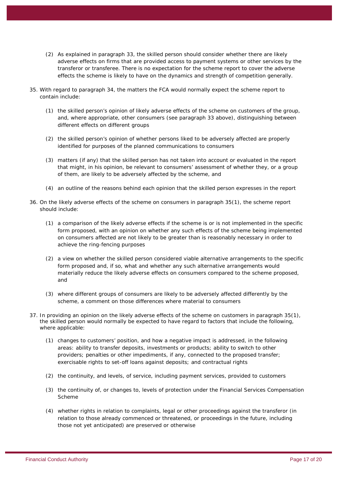- (2) As explained in paragraph 33, the skilled person should consider whether there are likely adverse effects on *firms* that are provided access to payment systems or other services by the transferor or transferee. There is no expectation for the scheme report to cover the adverse effects the scheme is likely to have on the dynamics and strength of competition generally.
- 35. With regard to paragraph 34, the matters the *FCA* would normally expect the scheme report to contain include:
	- (1) the skilled person's opinion of likely adverse effects of the scheme on *customers* of the group, and, where appropriate, other *consumers* (see paragraph 33 above), distinguishing between different effects on different groups
	- (2) the skilled person's opinion of whether persons liked to be adversely affected are properly identified for purposes of the planned communications to *consumers*
	- (3) matters (if any) that the skilled person has not taken into account or evaluated in the report that might, in his opinion, be relevant to *consumers'* assessment of whether they, or a group of them, are likely to be adversely affected by the scheme, and
	- (4) an outline of the reasons behind each opinion that the skilled person expresses in the report
- 36. On the likely adverse effects of the scheme on *consumers* in paragraph 35(1), the scheme report should include:
	- (1) a comparison of the likely adverse effects if the scheme is or is not implemented in the specific form proposed, with an opinion on whether any such effects of the scheme being implemented on *consumers* affected are not likely to be greater than is reasonably necessary in order to achieve the ring-fencing purposes
	- (2) a view on whether the skilled person considered viable alternative arrangements to the specific form proposed and, if so, what and whether any such alternative arrangements would materially reduce the likely adverse effects on *consumers* compared to the scheme proposed, and
	- (3) where different groups of *consumers* are likely to be adversely affected differently by the scheme, a comment on those differences where material to *consumers*
- 37. In providing an opinion on the likely adverse effects of the scheme on *customers* in paragraph 35(1), the skilled person would normally be expected to have regard to factors that include the following, where applicable:
	- (1) changes to *customers*' position, and how a negative impact is addressed, in the following areas: ability to transfer deposits, investments or products; ability to switch to other providers; penalties or other impediments, if any, connected to the proposed transfer; exercisable rights to set-off loans against deposits; and contractual rights
	- (2) the continuity, and levels, of service, including payment services, provided to *customers*
	- (3) the continuity of, or changes to, levels of protection under the Financial Services Compensation Scheme
	- (4) whether rights in relation to complaints, legal or other proceedings against the transferor (in relation to those already commenced or threatened, or proceedings in the future, including those not yet anticipated) are preserved or otherwise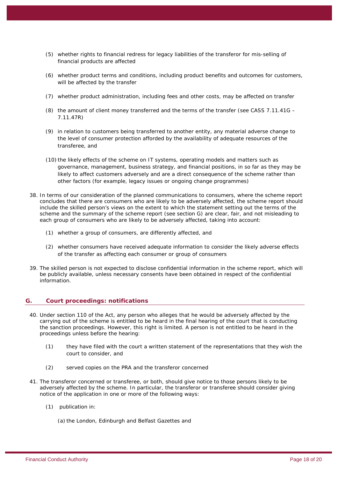- (5) whether rights to financial redress for legacy liabilities of the transferor for mis-selling of financial products are affected
- (6) whether product terms and conditions, including product benefits and outcomes for *customers*, will be affected by the transfer
- (7) whether product administration, including fees and other costs, may be affected on transfer
- (8) the amount of client money transferred and the terms of the transfer (see *CASS* 7.11.41G 7.11.47R)
- (9) in relation to *customers* being transferred to another entity, any material adverse change to the level of consumer protection afforded by the availability of adequate resources of the transferee, and
- (10) the likely effects of the scheme on IT systems, operating models and matters such as governance, management, business strategy, and financial positions, in so far as they may be likely to affect *customers* adversely and are a direct consequence of the scheme rather than other factors (for example, legacy issues or ongoing change programmes)
- 38. In terms of our consideration of the planned communications to *consumers*, where the scheme report concludes that there are *consumers* who are likely to be adversely affected, the scheme report should include the skilled person's views on the extent to which the statement setting out the terms of the scheme and the summary of the scheme report (see section G) are clear, fair, and not misleading to each group of *consumers* who are likely to be adversely affected, taking into account:
	- (1) whether a group of *consumers*, are differently affected, and
	- (2) whether *consumers* have received adequate information to consider the likely adverse effects of the transfer as affecting each *consumer* or group of *consumers*
- 39. The skilled person is not expected to disclose confidential information in the scheme report, which will be publicly available, unless necessary consents have been obtained in respect of the confidential information.

### **G. Court proceedings: notifications**

- 40. Under section 110 of the *Act*, any person who alleges that he would be adversely affected by the carrying out of the scheme is entitled to be heard in the final hearing of the court that is conducting the sanction proceedings. However, this right is limited. A person is not entitled to be heard in the proceedings unless before the hearing:
	- (1) they have filed with the court a written statement of the representations that they wish the court to consider, and
	- (2) served copies on the *PRA* and the transferor concerned
- 41. The transferor concerned or transferee, or both, should give notice to those persons likely to be adversely affected by the scheme. In particular, the transferor or transferee should consider giving notice of the application in one or more of the following ways:
	- (1) publication in:
		- (a) the London, Edinburgh and Belfast Gazettes and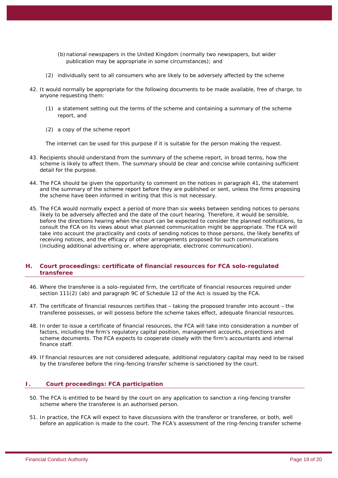- (b)national newspapers in the *United Kingdom* (normally two newspapers, but wider publication may be appropriate in some circumstances); and
- (2) individually sent to all *consumers* who are likely to be adversely affected by the scheme
- 42. It would normally be appropriate for the following documents to be made available, free of charge, to anyone requesting them:
	- (1) a statement setting out the terms of the scheme and containing a summary of the scheme report, and
	- (2) a copy of the scheme report

The internet can be used for this purpose if it is suitable for the person making the request.

- 43. Recipients should understand from the summary of the scheme report, in broad terms, how the scheme is likely to affect them. The summary should be clear and concise while containing sufficient detail for the purpose.
- 44. The *FCA* should be given the opportunity to comment on the notices in paragraph 41, the statement and the summary of the scheme report before they are published or sent, unless the *firms* proposing the scheme have been informed in writing that this is not necessary.
- 45. The *FCA* would normally expect a period of more than six weeks between sending notices to persons likely to be adversely affected and the date of the court hearing. Therefore, it would be sensible, before the directions hearing when the court can be expected to consider the planned notifications, to consult the *FCA* on its views about what planned communication might be appropriate. The *FCA* will take into account the practicality and costs of sending notices to those persons, the likely benefits of receiving notices, and the efficacy of other arrangements proposed for such communications (including additional advertising or, where appropriate, electronic communication).

### **H. Court proceedings: certificate of financial resources for FCA solo-regulated transferee**

- 46. Where the transferee is a solo-regulated *firm*, the certificate of financial resources required under section 111(2) (ab) and paragraph 9C of Schedule 12 of the *Act* is issued by the *FCA*.
- 47. The certificate of financial resources certifies that taking the proposed transfer into account the transferee possesses, or will possess before the scheme takes effect, adequate financial resources.
- 48. In order to issue a certificate of financial resources, the *FCA* will take into consideration a number of factors, including the *firm's* regulatory capital position, management accounts, projections and scheme documents. The *FCA* expects to cooperate closely with the *firm's* accountants and internal finance staff.
- 49. If financial resources are not considered adequate, additional regulatory capital may need to be raised by the transferee before the ring-fencing transfer scheme is sanctioned by the court.

### **I. Court proceedings: FCA participation**

- 50. The *FCA* is entitled to be heard by the court on any application to sanction a ring-fencing transfer scheme where the transferee is an *authorised person*.
- 51. In practice, the *FCA* will expect to have discussions with the transferor or transferee, or both, well before an application is made to the court. The *FCA's* assessment of the ring-fencing transfer scheme